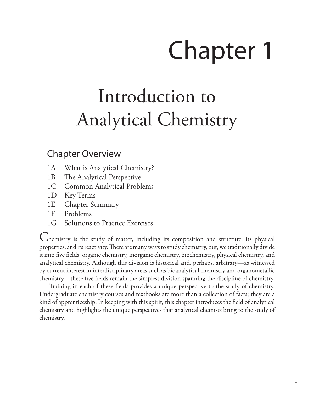# Chapter 1

## Introduction to Analytical Chemistry

### <span id="page-0-0"></span>Chapter Overview

- 1A [What is Analytical Chemistry?](#page-1-0)
- 1B [The Analytical Perspective](#page-4-0)
- 1C [Common Analytical Problems](#page-7-0)
- 1D [Key Terms](#page-7-1)
- 1E [Chapter Summary](#page-8-0)
- 1F [Problems](#page-8-1)
- 1G Solutions to Practice [Exercises](#page-9-0)

Chemistry is the study of matter, including its composition and structure, its physical properties, and its reactivity. There are many ways to study chemistry, but, we traditionally divide it into five fields: organic chemistry, inorganic chemistry, biochemistry, physical chemistry, and analytical chemistry. Although this division is historical and, perhaps, arbitrary—as witnessed by current interest in interdisciplinary areas such as bioanalytical chemistry and organometallic chemistry—these five fields remain the simplest division spanning the discipline of chemistry.

Training in each of these fields provides a unique perspective to the study of chemistry. Undergraduate chemistry courses and textbooks are more than a collection of facts; they are a kind of apprenticeship. In keeping with this spirit, this chapter introduces the field of analytical chemistry and highlights the unique perspectives that analytical chemists bring to the study of chemistry.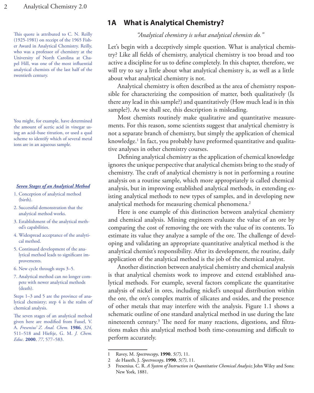This quote is attributed to C. N. Reilly (1925-1981) on receipt of the 1965 Fisher Award in Analytical Chemistry. Reilly, who was a professor of chemistry at the University of North Carolina at Chapel Hill, was one of the most influential analytical chemists of the last half of the twentieth century.

You might, for example, have determined the amount of acetic acid in vinegar using an acid–base titration, or used a qual scheme to identify which of several metal ions are in an aqueous sample.

#### *Seven Stages of an Analytical Method*

- 1. Conception of analytical method (birth).
- 2. Successful demonstration that the analytical method works.
- 3. Establishment of the analytical method's capabilities.
- 4. Widespread acceptance of the analytical method.
- 5. Continued development of the analytical method leads to significant improvements.
- 6. New cycle through steps 3–5.
- 7. Analytical method can no longer compete with newer analytical methods (death).

Steps 1–3 and 5 are the province of analytical chemistry; step 4 is the realm of chemical analysis.

The seven stages of an analytical method given here are modified from Fassel, V. A. *Fresenius' Z. Anal. Chem.* **1986**, *324*, 511–518 and Hieftje, G. M. *J. Chem. Educ.* **2000**, *77*, 577–583.

#### <span id="page-1-0"></span>**1A What is Analytical Chemistry?**

*"Analytical chemistry is what analytical chemists do."*

Let's begin with a deceptively simple question. What is analytical chemistry? Like all fields of chemistry, analytical chemistry is too broad and too active a discipline for us to define completely. In this chapter, therefore, we will try to say a little about what analytical chemistry is, as well as a little about what analytical chemistry is not.

Analytical chemistry is often described as the area of chemistry responsible for characterizing the composition of matter, both qualitatively (Is there any lead in this sample?) and quantitatively (How much lead is in this sample?). As we shall see, this description is misleading.

Most chemists routinely make qualitative and quantitative measurements. For this reason, some scientists suggest that analytical chemistry is not a separate branch of chemistry, but simply the application of chemical knowledge.1 In fact, you probably have preformed quantitative and qualitative analyses in other chemistry courses.

Defining analytical chemistry as the application of chemical knowledge ignores the unique perspective that analytical chemists bring to the study of chemistry. The craft of analytical chemistry is not in performing a routine analysis on a routine sample, which more appropriately is called chemical analysis, but in improving established analytical methods, in extending existing analytical methods to new types of samples, and in developing new analytical methods for measuring chemical phenomena.<sup>2</sup>

Here is one example of this distinction between analytical chemistry and chemical analysis. Mining engineers evaluate the value of an ore by comparing the cost of removing the ore with the value of its contents. To estimate its value they analyze a sample of the ore. The challenge of developing and validating an appropriate quantitative analytical method is the analytical chemist's responsibility. After its development, the routine, daily application of the analytical method is the job of the chemical analyst.

Another distinction between analytical chemistry and chemical analysis is that analytical chemists work to improve and extend established analytical methods. For example, several factors complicate the quantitative analysis of nickel in ores, including nickel's unequal distribution within the ore, the ore's complex matrix of silicates and oxides, and the presence of other metals that may interfere with the analysis. Figure 1.1 shows a schematic outline of one standard analytical method in use during the late nineteenth century.3 The need for many reactions, digestions, and filtrations makes this analytical method both time-consuming and difficult to perform accurately.

<sup>1</sup> Ravey, M. *Spectroscopy*, **1990**, *5(7)*, 11.

<sup>2</sup> de Haseth, J. *Spectroscopy*, **1990**, *5(7)*, 11.

<sup>3</sup> Fresenius. C. R. *A System of Instruction in Quantitative Chemical Analysis*; John Wiley and Sons: New York, 1881.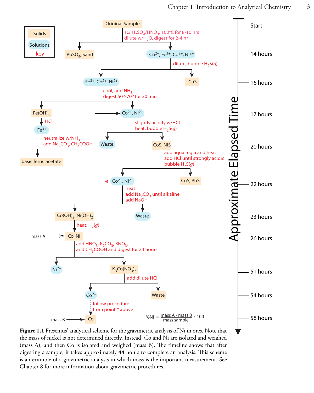<span id="page-2-0"></span>

**Figure 1.1** Fresenius' analytical scheme for the gravimetric analysis of Ni in ores. Note that the mass of nickel is not determined directly. Instead, Co and Ni are isolated and weighed (mass A), and then Co is isolated and weighed (mass B). The timeline shows that after digesting a sample, it takes approximately 44 hours to complete an analysis. This scheme is an example of a gravimetric analysis in which mass is the important measurement. See Chapter 8 for more information about gravimetric procedures.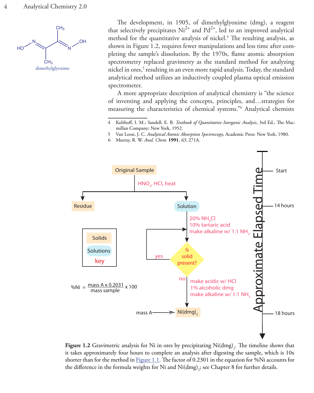

The development, in 1905, of dimethylglyoxime (dmg), a reagent that selectively precipitates  $Ni^{2+}$  and  $Pd^{2+}$ , led to an improved analytical method for the quantitative analysis of nickel.<sup>4</sup> The resulting analysis, as shown in Figure 1.2, requires fewer manipulations and less time after completing the sample's dissolution. By the 1970s, flame atomic absorption spectrometry replaced gravimetry as the standard method for analyzing nickel in ores,<sup>5</sup> resulting in an even more rapid analysis. Today, the standard analytical method utilizes an inductively coupled plasma optical emission spectrometer.

A more appropriate description of analytical chemistry is "the science of inventing and applying the concepts, principles, and…strategies for measuring the characteristics of chemical systems."6 Analytical chemists

- 5 Van Loon, J. C. *Analytical Atomic Absorption Spectroscopy*, Academic Press: New York, 1980.
- 6 Murray, R. W. *Anal. Chem.* **1991**, *63*, 271A.



**Figure 1.2** Gravimetric analysis for Ni in ores by precipitating  $\text{Ni(dmg)}_2$ . The timeline shows that it takes approximately four hours to complete an analysis after digesting the sample, which is 10x shorter than for the method in  $Figure 1.1$ . The factor of 0.2301 in the equation for %Ni accounts for the difference in the formula weights for Ni and  $\mathrm{Ni (dmg)}_{2}$ ; see Chapter 8 for further details.

<sup>4</sup> Kolthoff, I. M.; Sandell, E. B. *Textbook of Quantitative Inorganic Analysis*, 3rd Ed., The Macmillan Company: New York, 1952.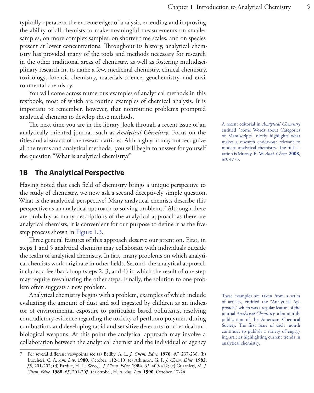typically operate at the extreme edges of analysis, extending and improving the ability of all chemists to make meaningful measurements on smaller samples, on more complex samples, on shorter time scales, and on species present at lower concentrations. Throughout its history, analytical chemistry has provided many of the tools and methods necessary for research in the other traditional areas of chemistry, as well as fostering multidisciplinary research in, to name a few, medicinal chemistry, clinical chemistry, toxicology, forensic chemistry, materials science, geochemistry, and environmental chemistry.

You will come across numerous examples of analytical methods in this textbook, most of which are routine examples of chemical analysis. It is important to remember, however, that nonroutine problems prompted analytical chemists to develop these methods.

The next time you are in the library, look through a recent issue of an analytically oriented journal, such as *Analytical Chemistry*. Focus on the titles and abstracts of the research articles. Although you may not recognize all the terms and analytical methods, you will begin to answer for yourself the question "What is analytical chemistry?"

#### <span id="page-4-0"></span>**1B The Analytical Perspective**

Having noted that each field of chemistry brings a unique perspective to the study of chemistry, we now ask a second deceptively simple question. What is the analytical perspective? Many analytical chemists describe this perspective as an analytical approach to solving problems.7 Although there are probably as many descriptions of the analytical approach as there are analytical chemists, it is convenient for our purpose to define it as the five-step process shown in [Figure 1.3.](#page-5-0)

Three general features of this approach deserve our attention. First, in steps 1 and 5 analytical chemists may collaborate with individuals outside the realm of analytical chemistry. In fact, many problems on which analytical chemists work originate in other fields. Second, the analytical approach includes a feedback loop (steps 2, 3, and 4) in which the result of one step may require reevaluating the other steps. Finally, the solution to one problem often suggests a new problem.

Analytical chemistry begins with a problem, examples of which include evaluating the amount of dust and soil ingested by children as an indicator of environmental exposure to particulate based pollutants, resolving contradictory evidence regarding the toxicity of perfluoro polymers during combustion, and developing rapid and sensitive detectors for chemical and biological weapons. At this point the analytical approach may involve a collaboration between the analytical chemist and the individual or agency

A recent editorial in *Analytical Chemistry* entitled "Some Words about Categories of Manuscripts" nicely highlights what makes a research endeavour relevant to modern analytical chemistry. The full citation is Murray, R. W. *Anal. Chem.* **2008**, *80*, 4775.

These examples are taken from a series of articles, entitled the "Analytical Approach," which was a regular feature of the journal *Analytical Chemistry*, a bimonthly publication of the American Chemical Society. The first issue of each month continues to publish a variety of engaging articles highlighting current trends in analytical chemistry.

<sup>7</sup> For several different viewpoints see (a) Beilby, A. L. *J. Chem. Educ.* **1970**, *47*, 237-238; (b) Lucchesi, C. A. *Am. Lab.* **1980**, October, 112-119; (c) Atkinson, G. F. *J. Chem. Educ.* **1982**, *59*, 201-202; (d) Pardue, H. L.; Woo, J. *J. Chem. Educ.* **1984**, *61*, 409-412; (e) Guarnieri, M. *J. Chem. Educ.* **1988**, *65*, 201-203, (f) Strobel, H. A. *Am. Lab.* **1990**, October, 17-24.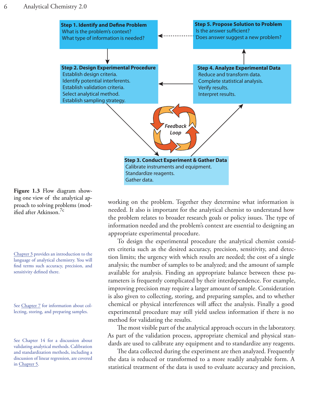<span id="page-5-0"></span>

**Figure 1.3** Flow diagram showing one view of the analytical approach to solving problems (mod- $\frac{1}{1}$ fied after Atkinson<sup>7c</sup>

Chapter 3 provides an introduction to the language of analytical chemistry. You will find terms such accuracy, precision, and sensitivity defined there.

See Chapter 7 for information about collecting, storing, and preparing samples.

See Chapter 14 for a discussion about validating analytical methods. Calibration and standardization methods, including a discussion of linear regression, are covered in Chapter 5.

working on the problem. Together they determine what information is needed. It also is important for the analytical chemist to understand how the problem relates to broader research goals or policy issues. The type of information needed and the problem's context are essential to designing an appropriate experimental procedure.

To design the experimental procedure the analytical chemist considers criteria such as the desired accuracy, precision, sensitivity, and detection limits; the urgency with which results are needed; the cost of a single analysis; the number of samples to be analyzed; and the amount of sample available for analysis. Finding an appropriate balance between these parameters is frequently complicated by their interdependence. For example, improving precision may require a larger amount of sample. Consideration is also given to collecting, storing, and preparing samples, and to whether chemical or physical interferences will affect the analysis. Finally a good experimental procedure may still yield useless information if there is no method for validating the results.

The most visible part of the analytical approach occurs in the laboratory. As part of the validation process, appropriate chemical and physical standards are used to calibrate any equipment and to standardize any reagents.

The data collected during the experiment are then analyzed. Frequently the data is reduced or transformed to a more readily analyzable form. A statistical treatment of the data is used to evaluate accuracy and precision,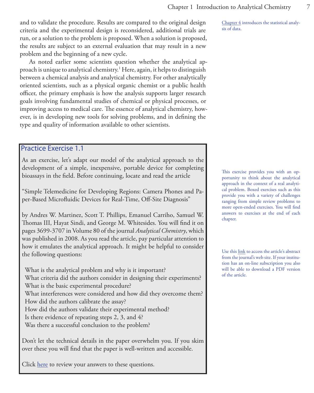and to validate the procedure. Results are compared to the original design criteria and the experimental design is reconsidered, additional trials are run, or a solution to the problem is proposed. When a solution is proposed, the results are subject to an external evaluation that may result in a new problem and the beginning of a new cycle.

As noted earlier some scientists question whether the analytical approach is unique to analytical chemistry.1 Here, again, it helps to distinguish between a chemical analysis and analytical chemistry. For other analytically oriented scientists, such as a physical organic chemist or a public health officer, the primary emphasis is how the analysis supports larger research goals involving fundamental studies of chemical or physical processes, or improving access to medical care. The essence of analytical chemistry, however, is in developing new tools for solving problems, and in defining the type and quality of information available to other scientists.

#### Practice Exercise 1.1

As an exercise, let's adapt our model of the analytical approach to the development of a simple, inexpensive, portable device for completing bioassays in the field. Before continuing, locate and read the article

"Simple Telemedicine for Developing Regions: Camera Phones and Paper-Based Microfluidic Devices for Real-Time, Off-Site Diagnosis"

by Andres W. Martinez, Scott T. Phillips, Emanuel Carriho, Samuel W. Thomas III, Hayat Sindi, and George M. Whitesides. You will find it on pages 3699-3707 in Volume 80 of the journal *Analytical Chemistry*, which was published in 2008. As you read the article, pay particular attention to how it emulates the analytical approach. It might be helpful to consider the following questions:

What is the analytical problem and why is it important? What criteria did the authors consider in designing their experiments? What is the basic experimental procedure? What interferences were considered and how did they overcome them? How did the authors calibrate the assay? How did the authors validate their experimental method? Is there evidence of repeating steps 2, 3, and 4?

Was there a successful conclusion to the problem?

Don't let the technical details in the paper overwhelm you. If you skim over these you will find that the paper is well-written and accessible.

Click [here](#page-9-1) to review your answers to these questions.

Chapter 4 introduces the statistical analysis of data.

This exercise provides you with an opportunity to think about the analytical approach in the context of a real analytical problem. Boxed exercises such as this provide you with a variety of challenges ranging from simple review problems to more open-ended exercises. You will find answers to exercises at the end of each chapter.

Use this [link](http://pubs.acs.org/cgi-bin/abstract.cgi/ancham/2008/80/i10/abs/ac800112r.html) to access the article's abstract from the journal's web site. If your institution has an on-line subscription you also will be able to download a PDF version of the article.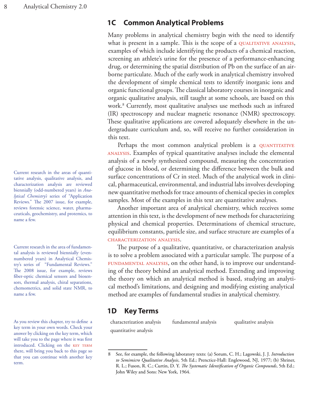Current research in the areas of quantitative analysis, qualitative analysis, and characterization analysis are reviewed biennially (odd-numbered years) in *Analytical Chemistry's* series of "Application Reviews." The 2007 issue, for example, reviews forensic science, water, pharmaceuticals, geochemistry, and protemics, to name a few.

Current research in the area of fundamental analysis is reviewed biennially (evennumbered years) in Analytical Chemistry's series of "Fundamental Reviews." The 2008 issue, for example, reviews fiber-optic chemical sensors and biosensors, thermal analysis, chiral separations, chemometrics, and solid state NMR, to name a few.

As you review this chapter, try to define a key term in your own words. Check your answer by clicking on the key term, which will take you to the page where it was first introduced. Clicking on the KEY TERM there, will bring you back to this page so that you can continue with another key term.

#### <span id="page-7-0"></span>**1C Common Analytical Problems**

<span id="page-7-4"></span>Many problems in analytical chemistry begin with the need to identify what is present in a sample. This is the scope of a QUALITATIVE ANALYSIS, examples of which include identifying the products of a chemical reaction, screening an athlete's urine for the presence of a performance-enhancing drug, or determining the spatial distribution of Pb on the surface of an airborne particulate. Much of the early work in analytical chemistry involved the development of simple chemical tests to identify inorganic ions and organic functional groups. The classical laboratory courses in inorganic and organic qualitative analysis, still taught at some schools, are based on this work.8 Currently, most qualitative analyses use methods such as infrared (IR) spectroscopy and nuclear magnetic resonance (NMR) spectroscopy. These qualitative applications are covered adequately elsewhere in the undergraduate curriculum and, so, will receive no further consideration in this text.

Perhaps the most common analytical problem is a QUANTITATIVE [analysis](#page-7-1). Examples of typical quantitative analyses include the elemental analysis of a newly synthesized compound, measuring the concentration of glucose in blood, or determining the difference between the bulk and surface concentrations of Cr in steel. Much of the analytical work in clinical, pharmaceutical, environmental, and industrial labs involves developing new quantitative methods for trace amounts of chemical species in complex samples. Most of the examples in this text are quantitative analyses.

<span id="page-7-2"></span>Another important area of analytical chemistry, which receives some attention in this text, is the development of new methods for characterizing physical and chemical properties. Determinations of chemical structure, equilibrium constants, particle size, and surface structure are examples of a [characterization analysis.](#page-7-1)

<span id="page-7-3"></span>The purpose of a qualitative, quantitative, or characterization analysis is to solve a problem associated with a particular sample. The purpose of a FUNDAMENTAL ANALYSIS, on the other hand, is to improve our understanding of the theory behind an analytical method. Extending and improving the theory on which an analytical method is based, studying an analytical method's limitations, and designing and modifying existing analytical method are examples of fundamental studies in analytical chemistry.

#### <span id="page-7-1"></span>**1D Key Terms**

[characterization analysis](#page-7-2) [fundamental analysis](#page-7-3) [qualitative analysis](#page-7-4) [quantitative analysis](#page-7-4)

<sup>8</sup> See, for example, the following laboratory texts: (a) Sorum, C. H.; Lagowski, J. J. *Introduction to Semimicro Qualitative Analysis*, 5th Ed.; Prenctice-Hall: Englewood, NJ, 1977; (b) Shriner, R. L.; Fuson, R. C.; Curtin, D. Y. *The Systematic Identification of Organic Compounds*, 5th Ed.; John Wiley and Sons: New York, 1964.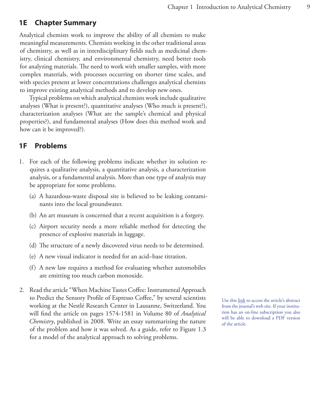#### <span id="page-8-0"></span>**1E Chapter Summary**

Analytical chemists work to improve the ability of all chemists to make meaningful measurements. Chemists working in the other traditional areas of chemistry, as well as in interdisciplinary fields such as medicinal chemistry, clinical chemistry, and environmental chemistry, need better tools for analyzing materials. The need to work with smaller samples, with more complex materials, with processes occurring on shorter time scales, and with species present at lower concentrations challenges analytical chemists to improve existing analytical methods and to develop new ones.

Typical problems on which analytical chemists work include qualitative analyses (What is present?), quantitative analyses (Who much is present?), characterization analyses (What are the sample's chemical and physical properties?), and fundamental analyses (How does this method work and how can it be improved?).

#### <span id="page-8-1"></span>**1F Problems**

- 1. For each of the following problems indicate whether its solution requires a qualitative analysis, a quantitative analysis, a characterization analysis, or a fundamental analysis. More than one type of analysis may be appropriate for some problems.
	- (a) A hazardous-waste disposal site is believed to be leaking contaminants into the local groundwater.
	- (b) An art museum is concerned that a recent acquisition is a forgery.
	- (c) Airport security needs a more reliable method for detecting the presence of explosive materials in luggage.
	- (d) The structure of a newly discovered virus needs to be determined.
	- (e) A new visual indicator is needed for an acid–base titration.
	- (f) A new law requires a method for evaluating whether automobiles are emitting too much carbon monoxide.
- 2. Read the article "When Machine Tastes Coffee: Instrumental Approach to Predict the Sensory Profile of Espresso Coffee," by several scientists working at the Nestlé Research Center in Lausanne, Switzerland. You will find the article on pages 1574-1581 in Volume 80 of *Analytical Chemistry*, published in 2008. Write an essay summarizing the nature of the problem and how it was solved. As a guide, refer to Figure 1.3 for a model of the analytical approach to solving problems.

Use this [link](http://pubs.acs.org/cgi-bin/abstract.cgi/ancham/2008/80/i05/abs/ac702196z.html) to access the article's abstract from the journal's web site. If your institution has an on-line subscription you also will be able to download a PDF version of the article.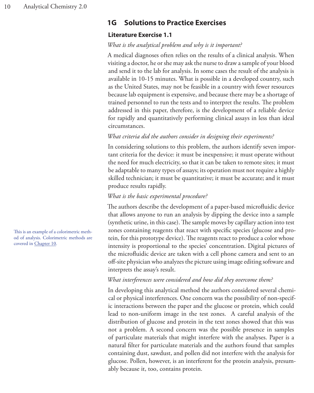#### <span id="page-9-0"></span>**1G Solutions to Practice Exercises**

#### <span id="page-9-1"></span>**Literature Exercise 1.1**

#### *What is the analytical problem and why is it important?*

A medical diagnoses often relies on the results of a clinical analysis. When visiting a doctor, he or she may ask the nurse to draw a sample of your blood and send it to the lab for analysis. In some cases the result of the analysis is available in 10-15 minutes. What is possible in a developed country, such as the United States, may not be feasible in a country with fewer resources because lab equipment is expensive, and because there may be a shortage of trained personnel to run the tests and to interpret the results. The problem addressed in this paper, therefore, is the development of a reliable device for rapidly and quantitatively performing clinical assays in less than ideal circumstances.

#### *What criteria did the authors consider in designing their experiments?*

In considering solutions to this problem, the authors identify seven important criteria for the device: it must be inexpensive; it must operate without the need for much electricity, so that it can be taken to remote sites; it must be adaptable to many types of assays; its operation must not require a highly skilled technician; it must be quantitative; it must be accurate; and it must produce results rapidly.

#### *What is the basic experimental procedure?*

The authors describe the development of a paper-based microfluidic device that allows anyone to run an analysis by dipping the device into a sample (synthetic urine, in this case). The sample moves by capillary action into test zones containing reagents that react with specific species (glucose and protein, for this prototype device). The reagents react to produce a color whose intensity is proportional to the species' concentration. Digital pictures of the microfluidic device are taken with a cell phone camera and sent to an off-site physician who analyzes the picture using image editing software and interprets the assay's result.

#### *What interferences were considered and how did they overcome them?*

In developing this analytical method the authors considered several chemical or physical interferences. One concern was the possibility of non-specific interactions between the paper and the glucose or protein, which could lead to non-uniform image in the test zones. A careful analysis of the distribution of glucose and protein in the text zones showed that this was not a problem. A second concern was the possible presence in samples of particulate materials that might interfere with the analyses. Paper is a natural filter for particulate materials and the authors found that samples containing dust, sawdust, and pollen did not interfere with the analysis for glucose. Pollen, however, is an interferent for the protein analysis, presumably because it, too, contains protein.

This is an example of a colorimetric method of analysis. Colorimetric methods are covered in Chapter 10.